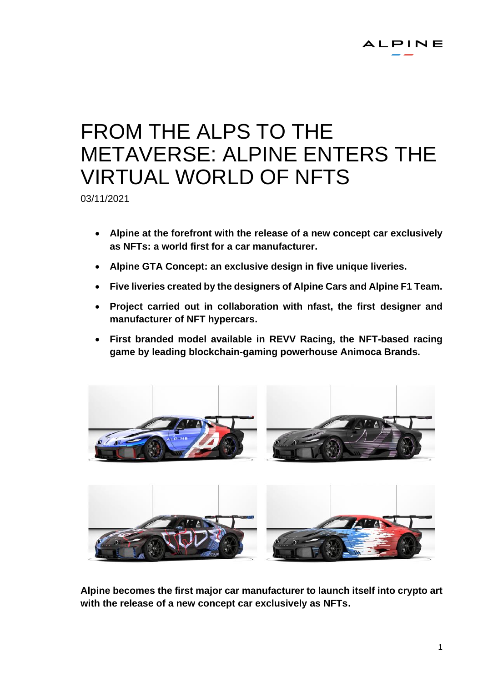# FROM THE ALPS TO THE METAVERSE: ALPINE ENTERS THE VIRTUAL WORLD OF NFTS

03/11/2021

- **Alpine at the forefront with the release of a new concept car exclusively as NFTs: a world first for a car manufacturer.**
- **Alpine GTA Concept: an exclusive design in five unique liveries.**
- **Five liveries created by the designers of Alpine Cars and Alpine F1 Team.**
- **Project carried out in collaboration with nfast, the first designer and manufacturer of NFT hypercars.**
- **First branded model available in REVV Racing, the NFT-based racing game by leading blockchain-gaming powerhouse Animoca Brands.**



**Alpine becomes the first major car manufacturer to launch itself into crypto art with the release of a new concept car exclusively as NFTs.**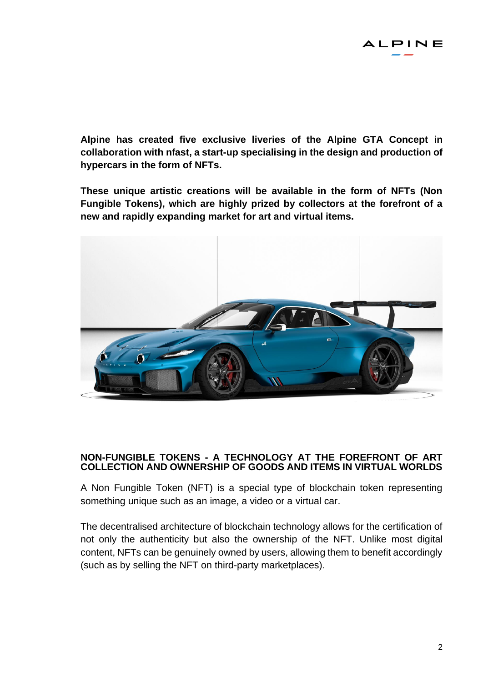**Alpine has created five exclusive liveries of the Alpine GTA Concept in collaboration with nfast, a start-up specialising in the design and production of hypercars in the form of NFTs.**

**These unique artistic creations will be available in the form of NFTs (Non Fungible Tokens), which are highly prized by collectors at the forefront of a new and rapidly expanding market for art and virtual items.** 



## **NON-FUNGIBLE TOKENS - A TECHNOLOGY AT THE FOREFRONT OF ART COLLECTION AND OWNERSHIP OF GOODS AND ITEMS IN VIRTUAL WORLDS**

A Non Fungible Token (NFT) is a special type of blockchain token representing something unique such as an image, a video or a virtual car.

The decentralised architecture of blockchain technology allows for the certification of not only the authenticity but also the ownership of the NFT. Unlike most digital content, NFTs can be genuinely owned by users, allowing them to benefit accordingly (such as by selling the NFT on third-party marketplaces).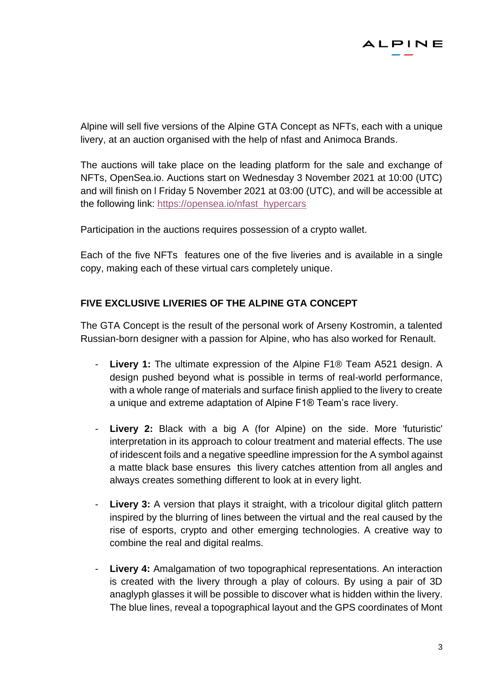

Alpine will sell five versions of the Alpine GTA Concept as NFTs, each with a unique livery, at an auction organised with the help of nfast and Animoca Brands.

The auctions will take place on the leading platform for the sale and exchange of NFTs, OpenSea.io. Auctions start on Wednesday 3 November 2021 at 10:00 (UTC) and will finish on l Friday 5 November 2021 at 03:00 (UTC), and will be accessible at the following link: [https://opensea.io/nfast\\_hypercars](https://opensea.io/nfast_hypercars)

Participation in the auctions requires possession of a crypto wallet.

Each of the five NFTs features one of the five liveries and is available in a single copy, making each of these virtual cars completely unique.

## **FIVE EXCLUSIVE LIVERIES OF THE ALPINE GTA CONCEPT**

The GTA Concept is the result of the personal work of Arseny Kostromin, a talented Russian-born designer with a passion for Alpine, who has also worked for Renault.

- **Livery 1:** The ultimate expression of the Alpine F1<sup>®</sup> Team A521 design. A design pushed beyond what is possible in terms of real-world performance, with a whole range of materials and surface finish applied to the livery to create a unique and extreme adaptation of Alpine F1® Team's race livery.
- **Livery 2:** Black with a big A (for Alpine) on the side. More 'futuristic' interpretation in its approach to colour treatment and material effects. The use of iridescent foils and a negative speedline impression for the A symbol against a matte black base ensures this livery catches attention from all angles and always creates something different to look at in every light.
- **Livery 3:** A version that plays it straight, with a tricolour digital glitch pattern inspired by the blurring of lines between the virtual and the real caused by the rise of esports, crypto and other emerging technologies. A creative way to combine the real and digital realms.
- Livery 4: Amalgamation of two topographical representations. An interaction is created with the livery through a play of colours. By using a pair of 3D anaglyph glasses it will be possible to discover what is hidden within the livery. The blue lines, reveal a topographical layout and the GPS coordinates of Mont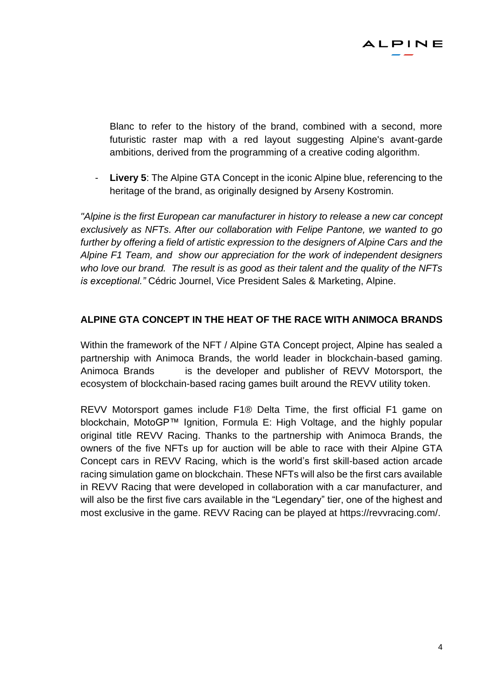

Blanc to refer to the history of the brand, combined with a second, more futuristic raster map with a red layout suggesting Alpine's avant-garde ambitions, derived from the programming of a creative coding algorithm.

**Livery 5:** The Alpine GTA Concept in the iconic Alpine blue, referencing to the heritage of the brand, as originally designed by Arseny Kostromin.

*"Alpine is the first European car manufacturer in history to release a new car concept exclusively as NFTs. After our collaboration with Felipe Pantone, we wanted to go further by offering a field of artistic expression to the designers of Alpine Cars and the Alpine F1 Team, and show our appreciation for the work of independent designers who love our brand. The result is as good as their talent and the quality of the NFTs is exceptional."* Cédric Journel, Vice President Sales & Marketing, Alpine.

#### **ALPINE GTA CONCEPT IN THE HEAT OF THE RACE WITH ANIMOCA BRANDS**

Within the framework of the NFT / Alpine GTA Concept project, Alpine has sealed a partnership with Animoca Brands, the world leader in blockchain-based gaming. Animoca Brands is the developer and publisher of REVV Motorsport, the ecosystem of blockchain-based racing games built around the REVV utility token.

REVV Motorsport games include F1® Delta Time, the first official F1 game on blockchain, MotoGP™ Ignition, Formula E: High Voltage, and the highly popular original title REVV Racing. Thanks to the partnership with Animoca Brands, the owners of the five NFTs up for auction will be able to race with their Alpine GTA Concept cars in REVV Racing, which is the world's first skill-based action arcade racing simulation game on blockchain. These NFTs will also be the first cars available in REVV Racing that were developed in collaboration with a car manufacturer, and will also be the first five cars available in the "Legendary" tier, one of the highest and most exclusive in the game. REVV Racing can be played at [https://revvracing.com/.](https://revvracing.com/)